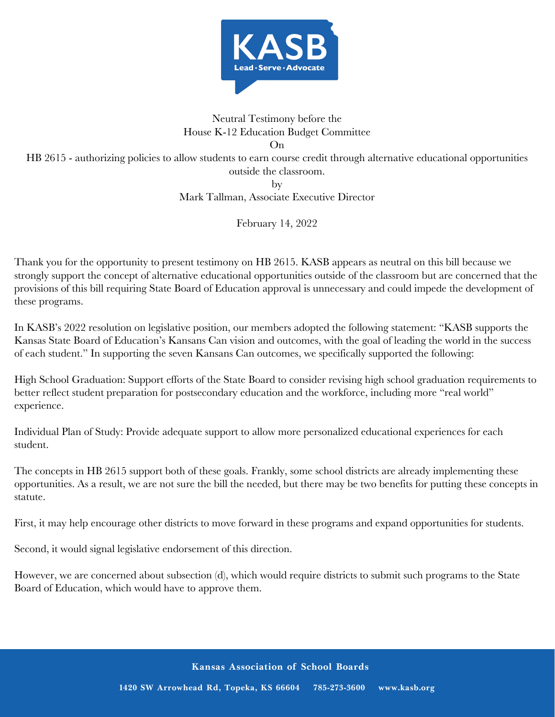

## Neutral Testimony before the House K-12 Education Budget Committee On

HB 2615 - authorizing policies to allow students to earn course credit through alternative educational opportunities outside the classroom.

by

Mark Tallman, Associate Executive Director

February 14, 2022

Thank you for the opportunity to present testimony on HB 2615. KASB appears as neutral on this bill because we strongly support the concept of alternative educational opportunities outside of the classroom but are concerned that the provisions of this bill requiring State Board of Education approval is unnecessary and could impede the development of these programs.

In KASB's 2022 resolution on legislative position, our members adopted the following statement: "KASB supports the Kansas State Board of Education's Kansans Can vision and outcomes, with the goal of leading the world in the success of each student." In supporting the seven Kansans Can outcomes, we specifically supported the following:

High School Graduation: Support efforts of the State Board to consider revising high school graduation requirements to better reflect student preparation for postsecondary education and the workforce, including more "real world" experience.

Individual Plan of Study: Provide adequate support to allow more personalized educational experiences for each student.

The concepts in HB 2615 support both of these goals. Frankly, some school districts are already implementing these opportunities. As a result, we are not sure the bill the needed, but there may be two benefits for putting these concepts in statute.

First, it may help encourage other districts to move forward in these programs and expand opportunities for students.

Second, it would signal legislative endorsement of this direction.

However, we are concerned about subsection (d), which would require districts to submit such programs to the State Board of Education, which would have to approve them.

**Kansas Association of School Boards**